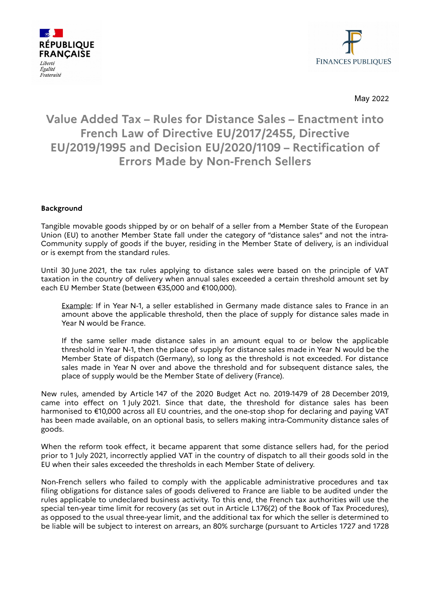



May 2022

## **Value Added Tax – Rules for Distance Sales – Enactment into French Law of Directive EU/2017/2455, Directive EU/2019/1995 and Decision EU/2020/1109 – Rectification of Errors Made by Non-French Sellers**

## **Background**

Tangible movable goods shipped by or on behalf of a seller from a Member State of the European Union (EU) to another Member State fall under the category of "distance sales" and not the intra-Community supply of goods if the buyer, residing in the Member State of delivery, is an individual or is exempt from the standard rules.

Until 30 June 2021, the tax rules applying to distance sales were based on the principle of VAT taxation in the country of delivery when annual sales exceeded a certain threshold amount set by each EU Member State (between €35,000 and €100,000).

Example: If in Year N-1, a seller established in Germany made distance sales to France in an amount above the applicable threshold, then the place of supply for distance sales made in Year N would be France.

If the same seller made distance sales in an amount equal to or below the applicable threshold in Year N-1, then the place of supply for distance sales made in Year N would be the Member State of dispatch (Germany), so long as the threshold is not exceeded. For distance sales made in Year N over and above the threshold and for subsequent distance sales, the place of supply would be the Member State of delivery (France).

New rules, amended by Article 147 of the 2020 Budget Act no. 2019-1479 of 28 December 2019, came into effect on 1 July 2021. Since that date, the threshold for distance sales has been harmonised to €10,000 across all EU countries, and the one-stop shop for declaring and paying VAT has been made available, on an optional basis, to sellers making intra-Community distance sales of goods.

When the reform took effect, it became apparent that some distance sellers had, for the period prior to 1 July 2021, incorrectly applied VAT in the country of dispatch to all their goods sold in the EU when their sales exceeded the thresholds in each Member State of delivery.

Non-French sellers who failed to comply with the applicable administrative procedures and tax filing obligations for distance sales of goods delivered to France are liable to be audited under the rules applicable to undeclared business activity. To this end, the French tax authorities will use the special ten-year time limit for recovery (as set out in Article L.176(2) of the Book of Tax Procedures), as opposed to the usual three-year limit, and the additional tax for which the seller is determined to be liable will be subject to interest on arrears, an 80% surcharge (pursuant to Articles 1727 and 1728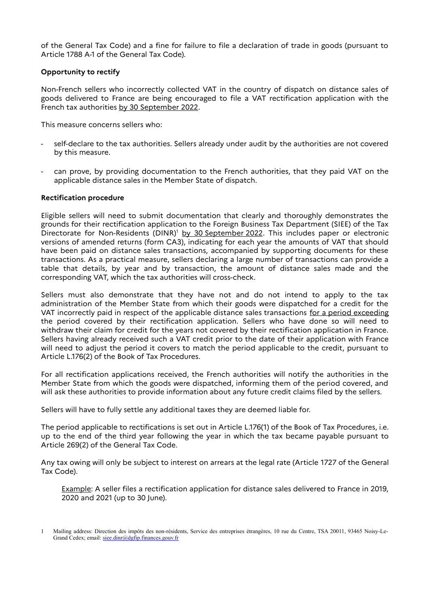of the General Tax Code) and a fine for failure to file a declaration of trade in goods (pursuant to Article 1788 A-1 of the General Tax Code).

## **Opportunity to rectify**

Non-French sellers who incorrectly collected VAT in the country of dispatch on distance sales of goods delivered to France are being encouraged to file a VAT rectification application with the French tax authorities by 30 September 2022.

This measure concerns sellers who:

- self-declare to the tax authorities. Sellers already under audit by the authorities are not covered by this measure.
- can prove, by providing documentation to the French authorities, that they paid VAT on the applicable distance sales in the Member State of dispatch.

## **Rectification procedure**

Eligible sellers will need to submit documentation that clearly and thoroughly demonstrates the grounds for their rectification application to the Foreign Business Tax Department (SIEE) of the Tax Directorate for Non-Residents (DINR)<sup>[1](#page-1-0)</sup> by 30 September 2022. This includes paper or electronic versions of amended returns (form CA3), indicating for each year the amounts of VAT that should have been paid on distance sales transactions, accompanied by supporting documents for these transactions. As a practical measure, sellers declaring a large number of transactions can provide a table that details, by year and by transaction, the amount of distance sales made and the corresponding VAT, which the tax authorities will cross-check.

Sellers must also demonstrate that they have not and do not intend to apply to the tax administration of the Member State from which their goods were dispatched for a credit for the VAT incorrectly paid in respect of the applicable distance sales transactions for a period exceeding the period covered by their rectification application. Sellers who have done so will need to withdraw their claim for credit for the years not covered by their rectification application in France. Sellers having already received such a VAT credit prior to the date of their application with France will need to adjust the period it covers to match the period applicable to the credit, pursuant to Article L.176(2) of the Book of Tax Procedures.

For all rectification applications received, the French authorities will notify the authorities in the Member State from which the goods were dispatched, informing them of the period covered, and will ask these authorities to provide information about any future credit claims filed by the sellers.

Sellers will have to fully settle any additional taxes they are deemed liable for.

The period applicable to rectifications is set out in Article L.176(1) of the Book of Tax Procedures, i.e. up to the end of the third year following the year in which the tax became payable pursuant to Article 269(2) of the General Tax Code.

Any tax owing will only be subject to interest on arrears at the legal rate (Article 1727 of the General Tax Code).

Example: A seller files a rectification application for distance sales delivered to France in 2019, 2020 and 2021 (up to 30 June).

<span id="page-1-0"></span><sup>1</sup> Mailing address: Direction des impôts des non-résidents, Service des entreprises étrangères, 10 rue du Centre, TSA 20011, 93465 Noisy-Le-Grand Cedex; email: [siee.dinr@dgfip.finances.gouv.fr](mailto:siee.dinr@dgfip.finances.gouv.fr)